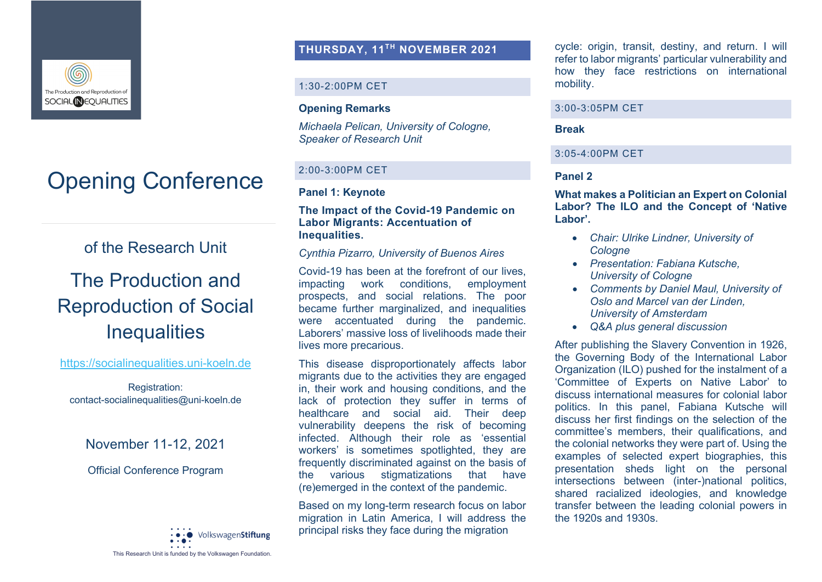

# Opening Conference

of the Research Unit

## The Production and Reproduction of Social **Inequalities**

#### https://socialinequalities.uni-koeln.de

Registration: contact-socialinequalities@uni-koeln.de

November 11-12, 2021

## Official Conference Program



## **THURSDAY, 11TH NOVEMBER 2021**

## 1:30-2:00PM CET

## **Opening Remarks**

*Michaela Pelican, University of Cologne, Speaker of Research Unit*

## 2:00-3:00PM CET

## **Panel 1: Keynote**

## **The Impact of the Covid-19 Pandemic on Labor Migrants: Accentuation of Inequalities.**

## *Cynthia Pizarro, University of Buenos Aires*

Covid-19 has been at the forefront of our lives, impacting work conditions, employment prospects, and social relations. The poor became further marginalized, and inequalities were accentuated during the pandemic. Laborers' massive loss of livelihoods made their lives more precarious.

This disease disproportionately affects labor migrants due to the activities they are engaged in, their work and housing conditions, and the lack of protection they suffer in terms of healthcare and social aid. Their deep vulnerability deepens the risk of becoming infected. Although their role as 'essential workers' is sometimes spotlighted, they are frequently discriminated against on the basis of the various stigmatizations that have (re)emerged in the context of the pandemic.

Based on my long-term research focus on labor migration in Latin America, I will address the principal risks they face during the migration

cycle: origin, transit, destiny, and return. I will refer to labor migrants' particular vulnerability and how they face restrictions on international mobility.

#### 3:00-3:05PM CET

### **Break**

## 3:05-4:00PM CET

## **Panel 2**

**What makes a Politician an Expert on Colonial Labor? The ILO and the Concept of 'Native Labor'.**

- *Chair: Ulrike Lindner, University of Cologne*
- *Presentation: Fabiana Kutsche, University of Cologne*
- *Comments by Daniel Maul, University of Oslo and Marcel van der Linden, University of Amsterdam*
- *Q&A plus general discussion*

After publishing the Slavery Convention in 1926, the Governing Body of the International Labor Organization (ILO) pushed for the instalment of a 'Committee of Experts on Native Labor' to discuss international measures for colonial labor politics. In this panel, Fabiana Kutsche will discuss her first findings on the selection of the committee's members, their qualifications, and the colonial networks they were part of. Using the examples of selected expert biographies, this presentation sheds light on the personal intersections between (inter-)national politics, shared racialized ideologies, and knowledge transfer between the leading colonial powers in the 1920s and 1930s.